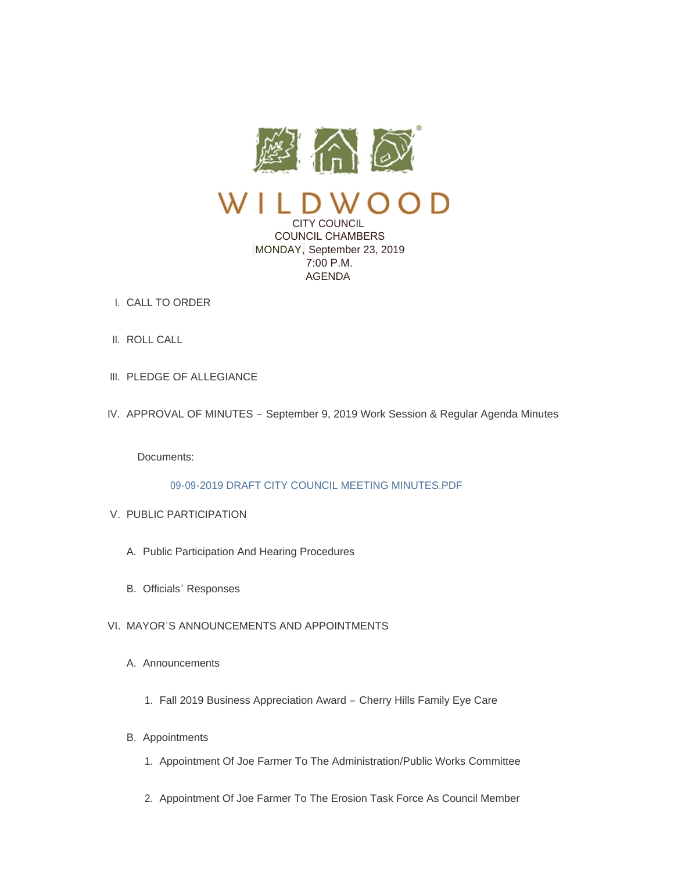

CITY COUNCIL COUNCIL CHAMBERS MONDAY, September 23, 2019 7:00 P.M. AGENDA

- CALL TO ORDER I.
- II. ROLL CALL
- III. PLEDGE OF ALLEGIANCE
- IV. APPROVAL OF MINUTES September 9, 2019 Work Session & Regular Agenda Minutes

Documents:

# [09-09-2019 DRAFT CITY COUNCIL MEETING MINUTES.PDF](https://www.cityofwildwood.com/AgendaCenter/ViewFile/Item/22118?fileID=27490)

- V. PUBLIC PARTICIPATION
	- A. Public Participation And Hearing Procedures
	- B. Officials' Responses

# VI. MAYOR'S ANNOUNCEMENTS AND APPOINTMENTS

- A. Announcements
	- 1. Fall 2019 Business Appreciation Award Cherry Hills Family Eye Care
- B. Appointments
	- 1. Appointment Of Joe Farmer To The Administration/Public Works Committee
	- 2. Appointment Of Joe Farmer To The Erosion Task Force As Council Member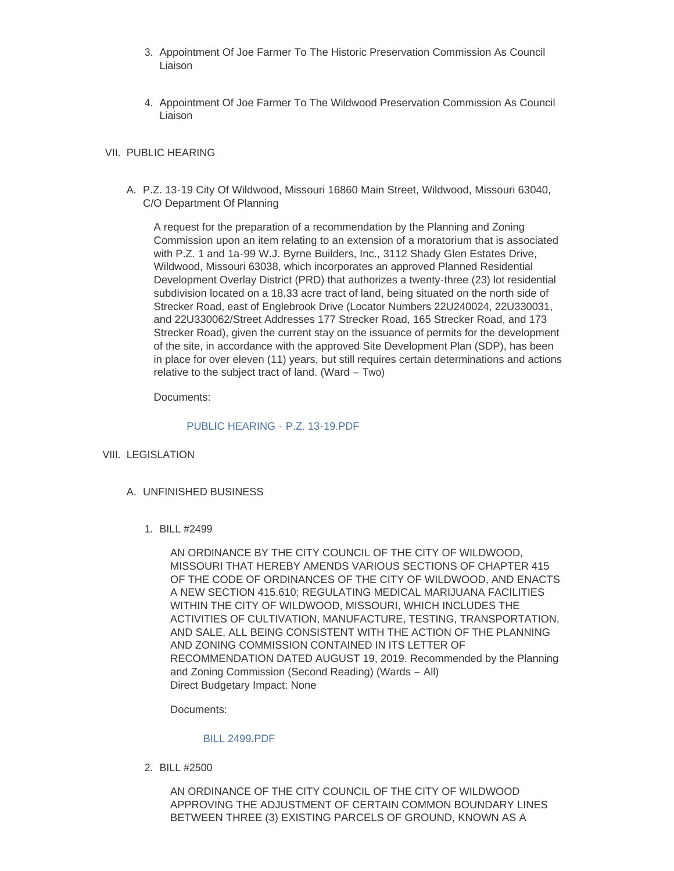- 3. Appointment Of Joe Farmer To The Historic Preservation Commission As Council Liaison
- 4. Appointment Of Joe Farmer To The Wildwood Preservation Commission As Council Liaison

## VII. PUBLIC HEARING

A. P.Z. 13-19 City Of Wildwood, Missouri 16860 Main Street, Wildwood, Missouri 63040, C/O Department Of Planning

A request for the preparation of a recommendation by the Planning and Zoning Commission upon an item relating to an extension of a moratorium that is associated with P.Z. 1 and 1a-99 W.J. Byrne Builders, Inc., 3112 Shady Glen Estates Drive, Wildwood, Missouri 63038, which incorporates an approved Planned Residential Development Overlay District (PRD) that authorizes a twenty-three (23) lot residential subdivision located on a 18.33 acre tract of land, being situated on the north side of Strecker Road, east of Englebrook Drive (Locator Numbers 22U240024, 22U330031, and 22U330062/Street Addresses 177 Strecker Road, 165 Strecker Road, and 173 Strecker Road), given the current stay on the issuance of permits for the development of the site, in accordance with the approved Site Development Plan (SDP), has been in place for over eleven (11) years, but still requires certain determinations and actions relative to the subject tract of land. (Ward – Two)

Documents:

#### [PUBLIC HEARING -](https://www.cityofwildwood.com/AgendaCenter/ViewFile/Item/22094?fileID=27482) P.Z. 13-19.PDF

- VIII. LEGISLATION
	- UNFINISHED BUSINESS A.
		- BILL #2499 1.

AN ORDINANCE BY THE CITY COUNCIL OF THE CITY OF WILDWOOD, MISSOURI THAT HEREBY AMENDS VARIOUS SECTIONS OF CHAPTER 415 OF THE CODE OF ORDINANCES OF THE CITY OF WILDWOOD, AND ENACTS A NEW SECTION 415.610; REGULATING MEDICAL MARIJUANA FACILITIES WITHIN THE CITY OF WILDWOOD, MISSOURI, WHICH INCLUDES THE ACTIVITIES OF CULTIVATION, MANUFACTURE, TESTING, TRANSPORTATION, AND SALE, ALL BEING CONSISTENT WITH THE ACTION OF THE PLANNING AND ZONING COMMISSION CONTAINED IN ITS LETTER OF RECOMMENDATION DATED AUGUST 19, 2019. Recommended by the Planning and Zoning Commission (Second Reading) (Wards – All) Direct Budgetary Impact: None

Documents:

### [BILL 2499.PDF](https://www.cityofwildwood.com/AgendaCenter/ViewFile/Item/22097?fileID=27469)

BILL #2500 2.

AN ORDINANCE OF THE CITY COUNCIL OF THE CITY OF WILDWOOD APPROVING THE ADJUSTMENT OF CERTAIN COMMON BOUNDARY LINES BETWEEN THREE (3) EXISTING PARCELS OF GROUND, KNOWN AS A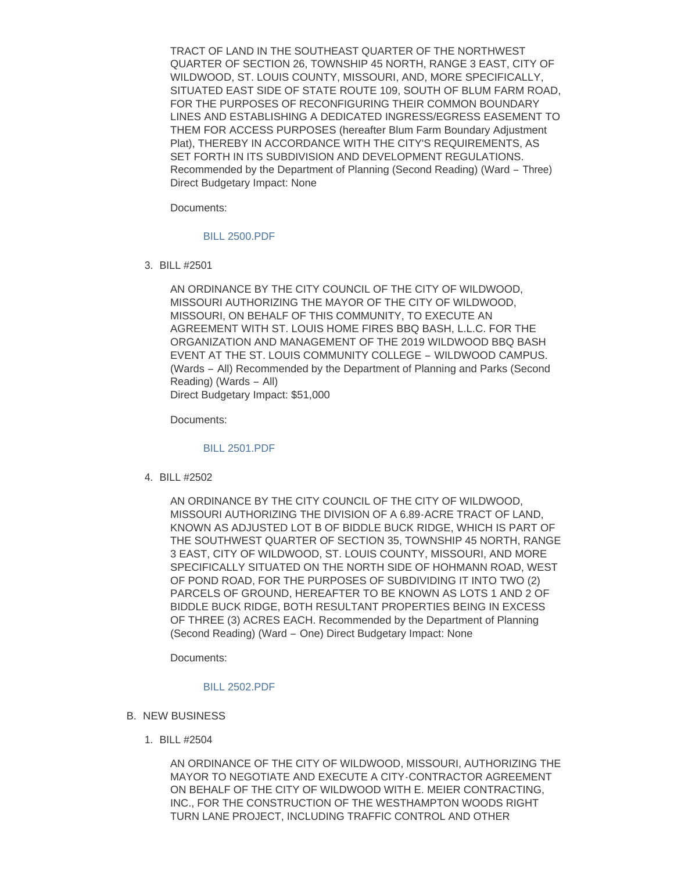TRACT OF LAND IN THE SOUTHEAST QUARTER OF THE NORTHWEST QUARTER OF SECTION 26, TOWNSHIP 45 NORTH, RANGE 3 EAST, CITY OF WILDWOOD, ST. LOUIS COUNTY, MISSOURI, AND, MORE SPECIFICALLY, SITUATED EAST SIDE OF STATE ROUTE 109, SOUTH OF BLUM FARM ROAD, FOR THE PURPOSES OF RECONFIGURING THEIR COMMON BOUNDARY LINES AND ESTABLISHING A DEDICATED INGRESS/EGRESS EASEMENT TO THEM FOR ACCESS PURPOSES (hereafter Blum Farm Boundary Adjustment Plat), THEREBY IN ACCORDANCE WITH THE CITY'S REQUIREMENTS, AS SET FORTH IN ITS SUBDIVISION AND DEVELOPMENT REGULATIONS. Recommended by the Department of Planning (Second Reading) (Ward – Three) Direct Budgetary Impact: None

Documents:

#### [BILL 2500.PDF](https://www.cityofwildwood.com/AgendaCenter/ViewFile/Item/22101?fileID=27470)

BILL #2501 3.

AN ORDINANCE BY THE CITY COUNCIL OF THE CITY OF WILDWOOD, MISSOURI AUTHORIZING THE MAYOR OF THE CITY OF WILDWOOD, MISSOURI, ON BEHALF OF THIS COMMUNITY, TO EXECUTE AN AGREEMENT WITH ST. LOUIS HOME FIRES BBQ BASH, L.L.C. FOR THE ORGANIZATION AND MANAGEMENT OF THE 2019 WILDWOOD BBQ BASH EVENT AT THE ST. LOUIS COMMUNITY COLLEGE – WILDWOOD CAMPUS. (Wards – All) Recommended by the Department of Planning and Parks (Second Reading) (Wards – All) Direct Budgetary Impact: \$51,000

Documents:

### [BILL 2501.PDF](https://www.cityofwildwood.com/AgendaCenter/ViewFile/Item/22102?fileID=27471)

BILL #2502 4.

AN ORDINANCE BY THE CITY COUNCIL OF THE CITY OF WILDWOOD, MISSOURI AUTHORIZING THE DIVISION OF A 6.89-ACRE TRACT OF LAND, KNOWN AS ADJUSTED LOT B OF BIDDLE BUCK RIDGE, WHICH IS PART OF THE SOUTHWEST QUARTER OF SECTION 35, TOWNSHIP 45 NORTH, RANGE 3 EAST, CITY OF WILDWOOD, ST. LOUIS COUNTY, MISSOURI, AND MORE SPECIFICALLY SITUATED ON THE NORTH SIDE OF HOHMANN ROAD, WEST OF POND ROAD, FOR THE PURPOSES OF SUBDIVIDING IT INTO TWO (2) PARCELS OF GROUND, HEREAFTER TO BE KNOWN AS LOTS 1 AND 2 OF BIDDLE BUCK RIDGE, BOTH RESULTANT PROPERTIES BEING IN EXCESS OF THREE (3) ACRES EACH. Recommended by the Department of Planning (Second Reading) (Ward – One) Direct Budgetary Impact: None

Documents:

### [BILL 2502.PDF](https://www.cityofwildwood.com/AgendaCenter/ViewFile/Item/22103?fileID=27472)

- **B. NEW BUSINESS** 
	- BILL #2504 1.

AN ORDINANCE OF THE CITY OF WILDWOOD, MISSOURI, AUTHORIZING THE MAYOR TO NEGOTIATE AND EXECUTE A CITY-CONTRACTOR AGREEMENT ON BEHALF OF THE CITY OF WILDWOOD WITH E. MEIER CONTRACTING, INC., FOR THE CONSTRUCTION OF THE WESTHAMPTON WOODS RIGHT TURN LANE PROJECT, INCLUDING TRAFFIC CONTROL AND OTHER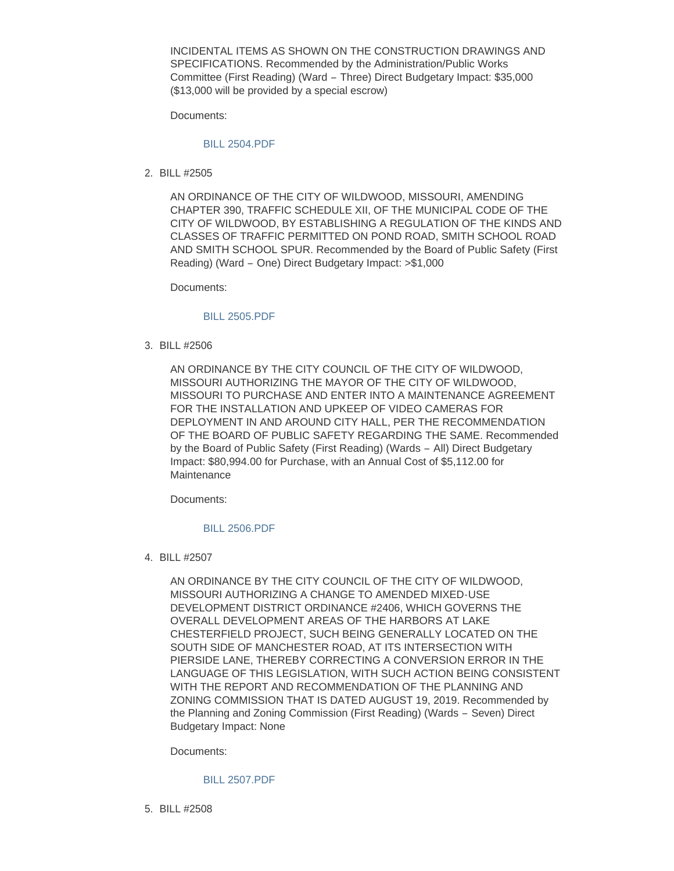INCIDENTAL ITEMS AS SHOWN ON THE CONSTRUCTION DRAWINGS AND SPECIFICATIONS. Recommended by the Administration/Public Works Committee (First Reading) (Ward – Three) Direct Budgetary Impact: \$35,000 (\$13,000 will be provided by a special escrow)

Documents:

#### [BILL 2504.PDF](https://www.cityofwildwood.com/AgendaCenter/ViewFile/Item/22105?fileID=27473)

BILL #2505 2.

AN ORDINANCE OF THE CITY OF WILDWOOD, MISSOURI, AMENDING CHAPTER 390, TRAFFIC SCHEDULE XII, OF THE MUNICIPAL CODE OF THE CITY OF WILDWOOD, BY ESTABLISHING A REGULATION OF THE KINDS AND CLASSES OF TRAFFIC PERMITTED ON POND ROAD, SMITH SCHOOL ROAD AND SMITH SCHOOL SPUR. Recommended by the Board of Public Safety (First Reading) (Ward – One) Direct Budgetary Impact: >\$1,000

Documents:

#### [BILL 2505.PDF](https://www.cityofwildwood.com/AgendaCenter/ViewFile/Item/22106?fileID=27474)

BILL #2506 3.

AN ORDINANCE BY THE CITY COUNCIL OF THE CITY OF WILDWOOD, MISSOURI AUTHORIZING THE MAYOR OF THE CITY OF WILDWOOD, MISSOURI TO PURCHASE AND ENTER INTO A MAINTENANCE AGREEMENT FOR THE INSTALLATION AND UPKEEP OF VIDEO CAMERAS FOR DEPLOYMENT IN AND AROUND CITY HALL, PER THE RECOMMENDATION OF THE BOARD OF PUBLIC SAFETY REGARDING THE SAME. Recommended by the Board of Public Safety (First Reading) (Wards – All) Direct Budgetary Impact: \$80,994.00 for Purchase, with an Annual Cost of \$5,112.00 for **Maintenance** 

Documents:

### [BILL 2506.PDF](https://www.cityofwildwood.com/AgendaCenter/ViewFile/Item/22107?fileID=27475)

BILL #2507 4.

AN ORDINANCE BY THE CITY COUNCIL OF THE CITY OF WILDWOOD, MISSOURI AUTHORIZING A CHANGE TO AMENDED MIXED-USE DEVELOPMENT DISTRICT ORDINANCE #2406, WHICH GOVERNS THE OVERALL DEVELOPMENT AREAS OF THE HARBORS AT LAKE CHESTERFIELD PROJECT, SUCH BEING GENERALLY LOCATED ON THE SOUTH SIDE OF MANCHESTER ROAD, AT ITS INTERSECTION WITH PIERSIDE LANE, THEREBY CORRECTING A CONVERSION ERROR IN THE LANGUAGE OF THIS LEGISLATION, WITH SUCH ACTION BEING CONSISTENT WITH THE REPORT AND RECOMMENDATION OF THE PLANNING AND ZONING COMMISSION THAT IS DATED AUGUST 19, 2019. Recommended by the Planning and Zoning Commission (First Reading) (Wards – Seven) Direct Budgetary Impact: None

Documents:

## [BILL 2507.PDF](https://www.cityofwildwood.com/AgendaCenter/ViewFile/Item/22108?fileID=27489)

BILL #2508 5.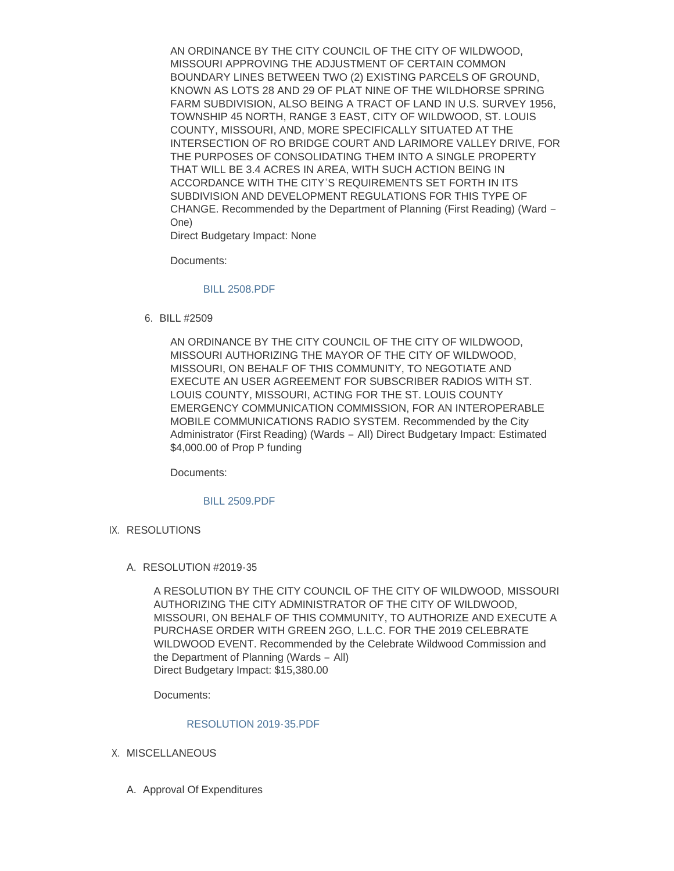AN ORDINANCE BY THE CITY COUNCIL OF THE CITY OF WILDWOOD, MISSOURI APPROVING THE ADJUSTMENT OF CERTAIN COMMON BOUNDARY LINES BETWEEN TWO (2) EXISTING PARCELS OF GROUND, KNOWN AS LOTS 28 AND 29 OF PLAT NINE OF THE WILDHORSE SPRING FARM SUBDIVISION, ALSO BEING A TRACT OF LAND IN U.S. SURVEY 1956, TOWNSHIP 45 NORTH, RANGE 3 EAST, CITY OF WILDWOOD, ST. LOUIS COUNTY, MISSOURI, AND, MORE SPECIFICALLY SITUATED AT THE INTERSECTION OF RO BRIDGE COURT AND LARIMORE VALLEY DRIVE, FOR THE PURPOSES OF CONSOLIDATING THEM INTO A SINGLE PROPERTY THAT WILL BE 3.4 ACRES IN AREA, WITH SUCH ACTION BEING IN ACCORDANCE WITH THE CITY'S REQUIREMENTS SET FORTH IN ITS SUBDIVISION AND DEVELOPMENT REGULATIONS FOR THIS TYPE OF CHANGE. Recommended by the Department of Planning (First Reading) (Ward – One)

Direct Budgetary Impact: None

Documents:

#### [BILL 2508.PDF](https://www.cityofwildwood.com/AgendaCenter/ViewFile/Item/22109?fileID=27477)

BILL #2509 6.

AN ORDINANCE BY THE CITY COUNCIL OF THE CITY OF WILDWOOD, MISSOURI AUTHORIZING THE MAYOR OF THE CITY OF WILDWOOD, MISSOURI, ON BEHALF OF THIS COMMUNITY, TO NEGOTIATE AND EXECUTE AN USER AGREEMENT FOR SUBSCRIBER RADIOS WITH ST. LOUIS COUNTY, MISSOURI, ACTING FOR THE ST. LOUIS COUNTY EMERGENCY COMMUNICATION COMMISSION, FOR AN INTEROPERABLE MOBILE COMMUNICATIONS RADIO SYSTEM. Recommended by the City Administrator (First Reading) (Wards – All) Direct Budgetary Impact: Estimated \$4,000.00 of Prop P funding

Documents:

#### [BILL 2509.PDF](https://www.cityofwildwood.com/AgendaCenter/ViewFile/Item/22110?fileID=27478)

IX. RESOLUTIONS

## A. RESOLUTION #2019-35

A RESOLUTION BY THE CITY COUNCIL OF THE CITY OF WILDWOOD, MISSOURI AUTHORIZING THE CITY ADMINISTRATOR OF THE CITY OF WILDWOOD, MISSOURI, ON BEHALF OF THIS COMMUNITY, TO AUTHORIZE AND EXECUTE A PURCHASE ORDER WITH GREEN 2GO, L.L.C. FOR THE 2019 CELEBRATE WILDWOOD EVENT. Recommended by the Celebrate Wildwood Commission and the Department of Planning (Wards – All) Direct Budgetary Impact: \$15,380.00

Documents:

#### [RESOLUTION 2019-35.PDF](https://www.cityofwildwood.com/AgendaCenter/ViewFile/Item/22112?fileID=27479)

- X. MISCELLANEOUS
	- A. Approval Of Expenditures